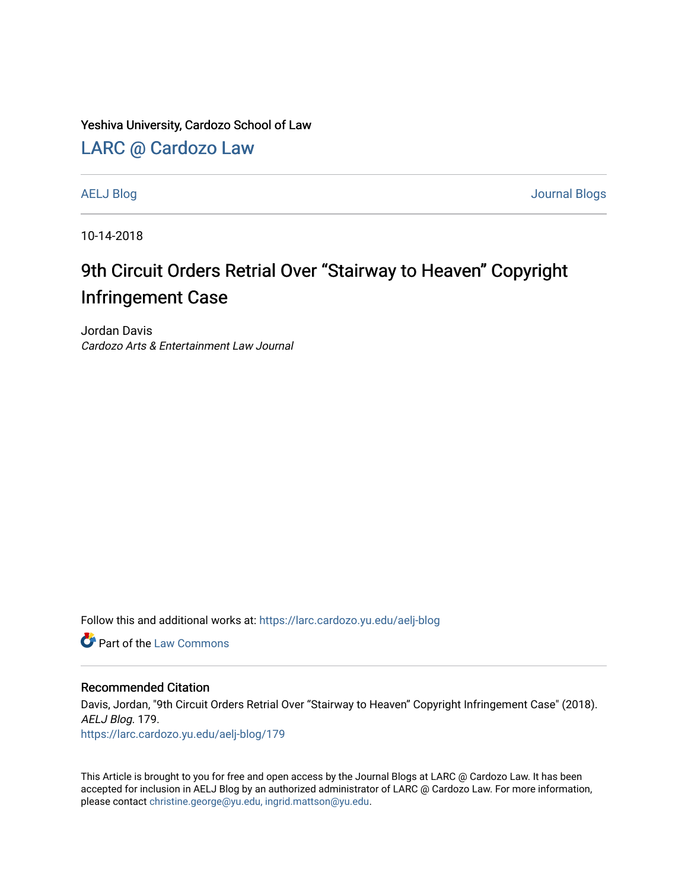Yeshiva University, Cardozo School of Law

## [LARC @ Cardozo Law](https://larc.cardozo.yu.edu/)

[AELJ Blog](https://larc.cardozo.yu.edu/aelj-blog) [Journal Blogs](https://larc.cardozo.yu.edu/journal-blogs) 

10-14-2018

## 9th Circuit Orders Retrial Over "Stairway to Heaven" Copyright Infringement Case

Jordan Davis Cardozo Arts & Entertainment Law Journal

Follow this and additional works at: [https://larc.cardozo.yu.edu/aelj-blog](https://larc.cardozo.yu.edu/aelj-blog?utm_source=larc.cardozo.yu.edu%2Faelj-blog%2F179&utm_medium=PDF&utm_campaign=PDFCoverPages) 

**C** Part of the [Law Commons](http://network.bepress.com/hgg/discipline/578?utm_source=larc.cardozo.yu.edu%2Faelj-blog%2F179&utm_medium=PDF&utm_campaign=PDFCoverPages)

## Recommended Citation

Davis, Jordan, "9th Circuit Orders Retrial Over "Stairway to Heaven" Copyright Infringement Case" (2018). AELJ Blog. 179. [https://larc.cardozo.yu.edu/aelj-blog/179](https://larc.cardozo.yu.edu/aelj-blog/179?utm_source=larc.cardozo.yu.edu%2Faelj-blog%2F179&utm_medium=PDF&utm_campaign=PDFCoverPages) 

This Article is brought to you for free and open access by the Journal Blogs at LARC @ Cardozo Law. It has been accepted for inclusion in AELJ Blog by an authorized administrator of LARC @ Cardozo Law. For more information, please contact [christine.george@yu.edu, ingrid.mattson@yu.edu.](mailto:christine.george@yu.edu,%20ingrid.mattson@yu.edu)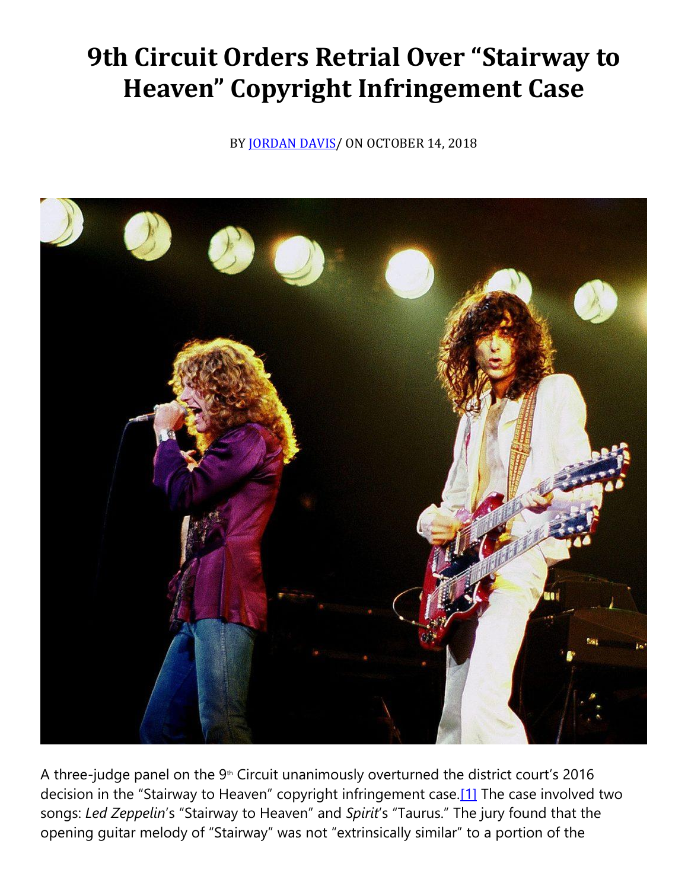## **9th Circuit Orders Retrial Over "Stairway to Heaven" Copyright Infringement Case**

BY **JORDAN DAVIS** / ON OCTOBER 14, 2018



A three-judge panel on the  $9<sup>th</sup>$  Circuit unanimously overturned the district court's 2016 decision in the "Stairway to Heaven" copyright infringement case.[\[1\]](https://cardozoaelj.com/2018/10/14/9th-circuit-orders-retrial-stairway-heaven-copyright-infringement-case/#_ftn1) The case involved two songs: *Led Zeppelin*'s "Stairway to Heaven" and *Spirit*'s "Taurus." The jury found that the opening guitar melody of "Stairway" was not "extrinsically similar" to a portion of the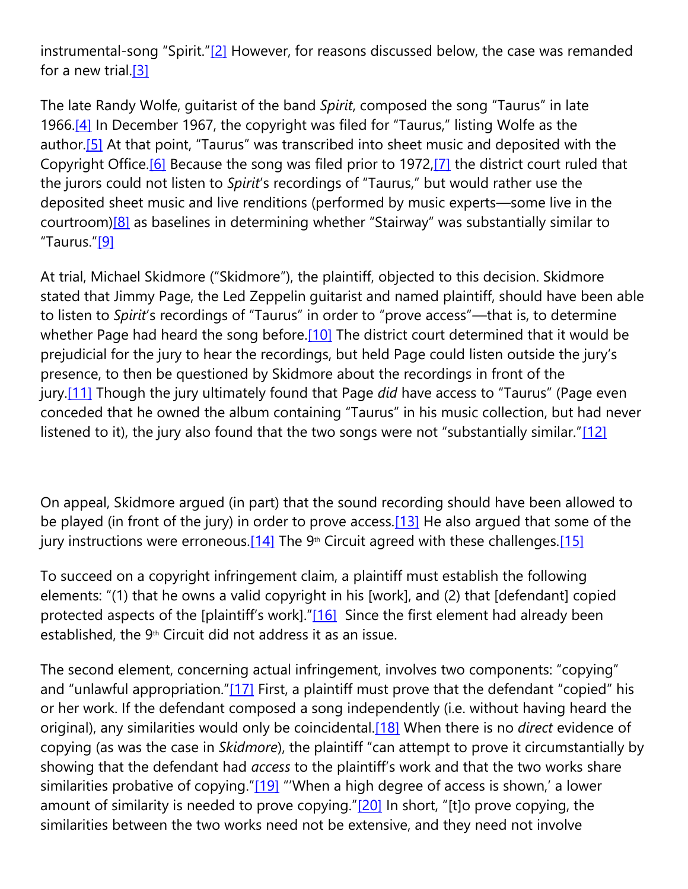instrumental-song "Spirit."[\[2\]](https://cardozoaelj.com/2018/10/14/9th-circuit-orders-retrial-stairway-heaven-copyright-infringement-case/#_ftn2) However, for reasons discussed below, the case was remanded for a new trial[.\[3\]](https://cardozoaelj.com/2018/10/14/9th-circuit-orders-retrial-stairway-heaven-copyright-infringement-case/#_ftn3)

The late Randy Wolfe, guitarist of the band *Spirit*, composed the song "Taurus" in late 1966[.\[4\]](https://cardozoaelj.com/2018/10/14/9th-circuit-orders-retrial-stairway-heaven-copyright-infringement-case/#_ftn4) In December 1967, the copyright was filed for "Taurus," listing Wolfe as the author.<sup>[5]</sup> At that point, "Taurus" was transcribed into sheet music and deposited with the Copyright Office.<sup>[6]</sup> Because the song was filed prior to 1972,<sup>[7]</sup> the district court ruled that the jurors could not listen to *Spirit*'s recordings of "Taurus," but would rather use the deposited sheet music and live renditions (performed by music experts—some live in the courtroom[\)\[8\]](https://cardozoaelj.com/2018/10/14/9th-circuit-orders-retrial-stairway-heaven-copyright-infringement-case/#_ftn8) as baselines in determining whether "Stairway" was substantially similar to "Taurus."[\[9\]](https://cardozoaelj.com/2018/10/14/9th-circuit-orders-retrial-stairway-heaven-copyright-infringement-case/#_ftn9)

At trial, Michael Skidmore ("Skidmore"), the plaintiff, objected to this decision. Skidmore stated that Jimmy Page, the Led Zeppelin guitarist and named plaintiff, should have been able to listen to *Spirit*'s recordings of "Taurus" in order to "prove access"—that is, to determine whether Page had heard the song before[.\[10\]](https://cardozoaelj.com/2018/10/14/9th-circuit-orders-retrial-stairway-heaven-copyright-infringement-case/#_ftn10) The district court determined that it would be prejudicial for the jury to hear the recordings, but held Page could listen outside the jury's presence, to then be questioned by Skidmore about the recordings in front of the jury[.\[11\]](https://cardozoaelj.com/2018/10/14/9th-circuit-orders-retrial-stairway-heaven-copyright-infringement-case/#_ftn11) Though the jury ultimately found that Page *did* have access to "Taurus" (Page even conceded that he owned the album containing "Taurus" in his music collection, but had never listened to it), the jury also found that the two songs were not "substantially similar."[\[12\]](https://cardozoaelj.com/2018/10/14/9th-circuit-orders-retrial-stairway-heaven-copyright-infringement-case/#_ftn12)

On appeal, Skidmore argued (in part) that the sound recording should have been allowed to be played (in front of the jury) in order to prove access[.\[13\]](https://cardozoaelj.com/2018/10/14/9th-circuit-orders-retrial-stairway-heaven-copyright-infringement-case/#_ftn13) He also argued that some of the jury instructions were erroneous.<sup>[14]</sup> The 9<sup>th</sup> Circuit agreed with these challenges.<sup>[15]</sup>

To succeed on a copyright infringement claim, a plaintiff must establish the following elements: "(1) that he owns a valid copyright in his [work], and (2) that [defendant] copied protected aspects of the [plaintiff's work]."[\[16\]](https://cardozoaelj.com/2018/10/14/9th-circuit-orders-retrial-stairway-heaven-copyright-infringement-case/#_ftn16) Since the first element had already been established, the  $9<sup>th</sup>$  Circuit did not address it as an issue.

The second element, concerning actual infringement, involves two components: "copying" and "unlawful appropriation."[\[17\]](https://cardozoaelj.com/2018/10/14/9th-circuit-orders-retrial-stairway-heaven-copyright-infringement-case/#_ftn17) First, a plaintiff must prove that the defendant "copied" his or her work. If the defendant composed a song independently (i.e. without having heard the original), any similarities would only be coincidental[.\[18\]](https://cardozoaelj.com/2018/10/14/9th-circuit-orders-retrial-stairway-heaven-copyright-infringement-case/#_ftn18) When there is no *direct* evidence of copying (as was the case in *Skidmore*), the plaintiff "can attempt to prove it circumstantially by showing that the defendant had *access* to the plaintiff's work and that the two works share similarities probative of copying."[\[19\]](https://cardozoaelj.com/2018/10/14/9th-circuit-orders-retrial-stairway-heaven-copyright-infringement-case/#_ftn19) "'When a high degree of access is shown,' a lower amount of similarity is needed to prove copying." $[20]$  In short, "[t]o prove copying, the similarities between the two works need not be extensive, and they need not involve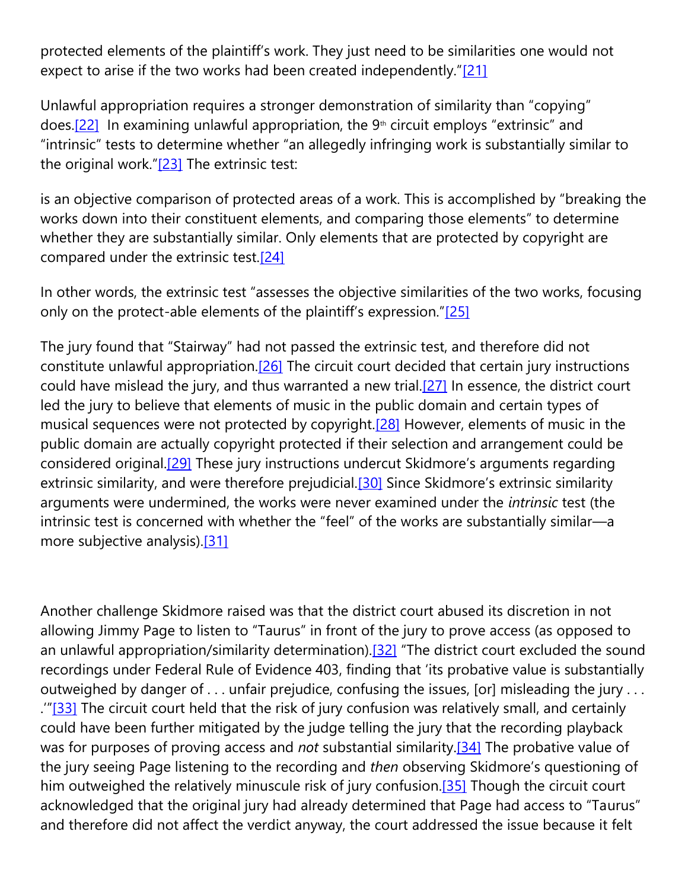protected elements of the plaintiff's work. They just need to be similarities one would not expect to arise if the two works had been created independently."[\[21\]](https://cardozoaelj.com/2018/10/14/9th-circuit-orders-retrial-stairway-heaven-copyright-infringement-case/#_ftn21)

Unlawful appropriation requires a stronger demonstration of similarity than "copying" does.<sup>[22]</sup> In examining unlawful appropriation, the  $9<sup>th</sup>$  circuit employs "extrinsic" and "intrinsic" tests to determine whether "an allegedly infringing work is substantially similar to the original work." $[23]$  The extrinsic test:

is an objective comparison of protected areas of a work. This is accomplished by "breaking the works down into their constituent elements, and comparing those elements" to determine whether they are substantially similar. Only elements that are protected by copyright are compared under the extrinsic test.<sup>[24]</sup>

In other words, the extrinsic test "assesses the objective similarities of the two works, focusing only on the protect-able elements of the plaintiff's expression."[\[25\]](https://cardozoaelj.com/2018/10/14/9th-circuit-orders-retrial-stairway-heaven-copyright-infringement-case/#_ftn25)

The jury found that "Stairway" had not passed the extrinsic test, and therefore did not constitute unlawful appropriation[.\[26\]](https://cardozoaelj.com/2018/10/14/9th-circuit-orders-retrial-stairway-heaven-copyright-infringement-case/#_ftn26) The circuit court decided that certain jury instructions could have mislead the jury, and thus warranted a new trial. $[27]$  In essence, the district court led the jury to believe that elements of music in the public domain and certain types of musical sequences were not protected by copyright[.\[28\]](https://cardozoaelj.com/2018/10/14/9th-circuit-orders-retrial-stairway-heaven-copyright-infringement-case/#_ftn28) However, elements of music in the public domain are actually copyright protected if their selection and arrangement could be considered original[.\[29\]](https://cardozoaelj.com/2018/10/14/9th-circuit-orders-retrial-stairway-heaven-copyright-infringement-case/#_ftn29) These jury instructions undercut Skidmore's arguments regarding extrinsic similarity, and were therefore prejudicial.<sup>[30]</sup> Since Skidmore's extrinsic similarity arguments were undermined, the works were never examined under the *intrinsic* test (the intrinsic test is concerned with whether the "feel" of the works are substantially similar—a more subjective analysis)[.\[31\]](https://cardozoaelj.com/2018/10/14/9th-circuit-orders-retrial-stairway-heaven-copyright-infringement-case/#_ftn31)

Another challenge Skidmore raised was that the district court abused its discretion in not allowing Jimmy Page to listen to "Taurus" in front of the jury to prove access (as opposed to an unlawful appropriation/similarity determination).<sup>[32]</sup> "The district court excluded the sound recordings under Federal Rule of Evidence 403, finding that 'its probative value is substantially outweighed by danger of . . . unfair prejudice, confusing the issues, [or] misleading the jury . . . .'"[\[33\]](https://cardozoaelj.com/2018/10/14/9th-circuit-orders-retrial-stairway-heaven-copyright-infringement-case/#_ftn33) The circuit court held that the risk of jury confusion was relatively small, and certainly could have been further mitigated by the judge telling the jury that the recording playback was for purposes of proving access and *not* substantial similarity[.\[34\]](https://cardozoaelj.com/2018/10/14/9th-circuit-orders-retrial-stairway-heaven-copyright-infringement-case/#_ftn34) The probative value of the jury seeing Page listening to the recording and *then* observing Skidmore's questioning of him outweighed the relatively minuscule risk of jury confusion.<sup>[35]</sup> Though the circuit court acknowledged that the original jury had already determined that Page had access to "Taurus" and therefore did not affect the verdict anyway, the court addressed the issue because it felt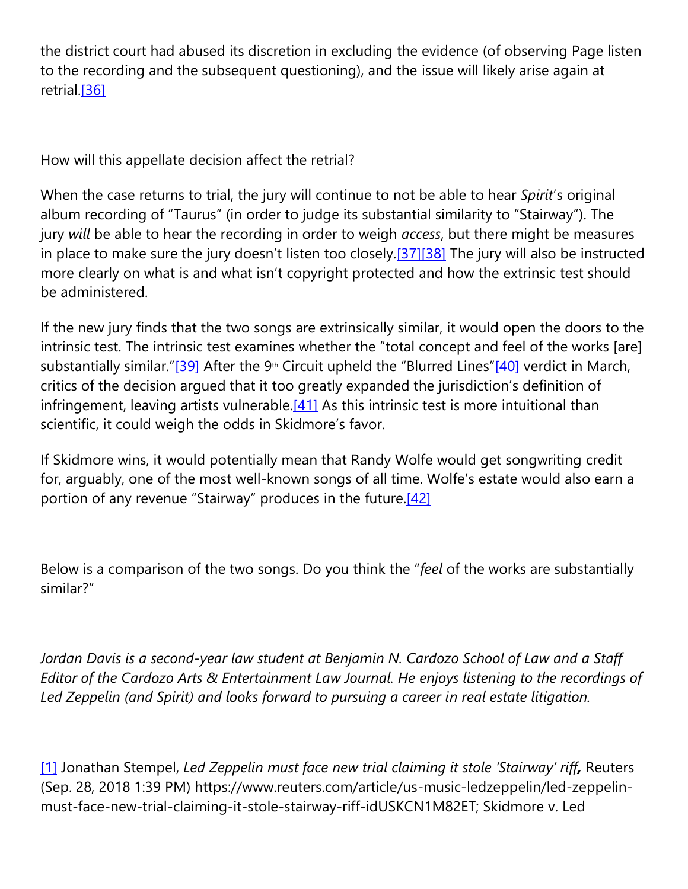the district court had abused its discretion in excluding the evidence (of observing Page listen to the recording and the subsequent questioning), and the issue will likely arise again at retrial.<sup>[36]</sup>

How will this appellate decision affect the retrial?

When the case returns to trial, the jury will continue to not be able to hear *Spirit*'s original album recording of "Taurus" (in order to judge its substantial similarity to "Stairway"). The jury *will* be able to hear the recording in order to weigh *access*, but there might be measures in place to make sure the jury doesn't listen too closely.[\[37\]](https://cardozoaelj.com/2018/10/14/9th-circuit-orders-retrial-stairway-heaven-copyright-infringement-case/#_ftn37)[\[38\]](https://cardozoaelj.com/2018/10/14/9th-circuit-orders-retrial-stairway-heaven-copyright-infringement-case/#_ftn38) The jury will also be instructed more clearly on what is and what isn't copyright protected and how the extrinsic test should be administered.

If the new jury finds that the two songs are extrinsically similar, it would open the doors to the intrinsic test. The intrinsic test examines whether the "total concept and feel of the works [are] substantially similar."[\[39\]](https://cardozoaelj.com/2018/10/14/9th-circuit-orders-retrial-stairway-heaven-copyright-infringement-case/#_ftn39) After the 9<sup>th</sup> Circuit upheld the "Blurred Lines"[\[40\]](https://cardozoaelj.com/2018/10/14/9th-circuit-orders-retrial-stairway-heaven-copyright-infringement-case/#_ftn40) verdict in March, critics of the decision argued that it too greatly expanded the jurisdiction's definition of infringement, leaving artists vulnerable. $[41]$  As this intrinsic test is more intuitional than scientific, it could weigh the odds in Skidmore's favor.

If Skidmore wins, it would potentially mean that Randy Wolfe would get songwriting credit for, arguably, one of the most well-known songs of all time. Wolfe's estate would also earn a portion of any revenue "Stairway" produces in the future.<sup>[42]</sup>

Below is a comparison of the two songs. Do you think the "*feel* of the works are substantially similar?"

*Jordan Davis is a second-year law student at Benjamin N. Cardozo School of Law and a Staff Editor of the Cardozo Arts & Entertainment Law Journal. He enjoys listening to the recordings of Led Zeppelin (and Spirit) and looks forward to pursuing a career in real estate litigation.*

[\[1\]](https://cardozoaelj.com/2018/10/14/9th-circuit-orders-retrial-stairway-heaven-copyright-infringement-case/#_ftnref1) Jonathan Stempel, *Led Zeppelin must face new trial claiming it stole 'Stairway' riff,* Reuters (Sep. 28, 2018 1:39 PM) https://www.reuters.com/article/us-music-ledzeppelin/led-zeppelinmust-face-new-trial-claiming-it-stole-stairway-riff-idUSKCN1M82ET; Skidmore v. Led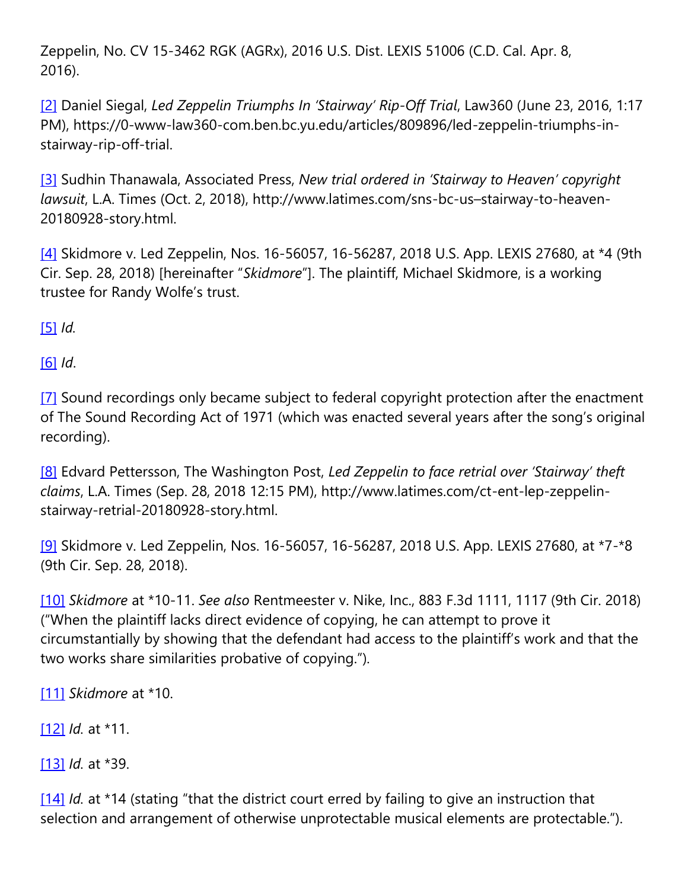Zeppelin, No. CV 15-3462 RGK (AGRx), 2016 U.S. Dist. LEXIS 51006 (C.D. Cal. Apr. 8, 2016).

[\[2\]](https://cardozoaelj.com/2018/10/14/9th-circuit-orders-retrial-stairway-heaven-copyright-infringement-case/#_ftnref2) Daniel Siegal, *Led Zeppelin Triumphs In 'Stairway' Rip-Off Trial*, Law360 (June 23, 2016, 1:17 PM), https://0-www-law360-com.ben.bc.yu.edu/articles/809896/led-zeppelin-triumphs-instairway-rip-off-trial.

[\[3\]](https://cardozoaelj.com/2018/10/14/9th-circuit-orders-retrial-stairway-heaven-copyright-infringement-case/#_ftnref3) Sudhin Thanawala, Associated Press, *New trial ordered in 'Stairway to Heaven' copyright lawsuit*, L.A. Times (Oct. 2, 2018), http://www.latimes.com/sns-bc-us–stairway-to-heaven-20180928-story.html.

[\[4\]](https://cardozoaelj.com/2018/10/14/9th-circuit-orders-retrial-stairway-heaven-copyright-infringement-case/#_ftnref4) Skidmore v. Led Zeppelin, Nos. 16-56057, 16-56287, 2018 U.S. App. LEXIS 27680, at \*4 (9th Cir. Sep. 28, 2018) [hereinafter "*Skidmore*"]. The plaintiff, Michael Skidmore, is a working trustee for Randy Wolfe's trust.

[\[5\]](https://cardozoaelj.com/2018/10/14/9th-circuit-orders-retrial-stairway-heaven-copyright-infringement-case/#_ftnref5) *Id.*

[\[6\]](https://cardozoaelj.com/2018/10/14/9th-circuit-orders-retrial-stairway-heaven-copyright-infringement-case/#_ftnref6) *Id*.

[\[7\]](https://cardozoaelj.com/2018/10/14/9th-circuit-orders-retrial-stairway-heaven-copyright-infringement-case/#_ftnref7) Sound recordings only became subject to federal copyright protection after the enactment of The Sound Recording Act of 1971 (which was enacted several years after the song's original recording).

[\[8\]](https://cardozoaelj.com/2018/10/14/9th-circuit-orders-retrial-stairway-heaven-copyright-infringement-case/#_ftnref8) Edvard Pettersson, The Washington Post, *Led Zeppelin to face retrial over 'Stairway' theft claims*, L.A. Times (Sep. 28, 2018 12:15 PM), http://www.latimes.com/ct-ent-lep-zeppelinstairway-retrial-20180928-story.html.

[\[9\]](https://cardozoaelj.com/2018/10/14/9th-circuit-orders-retrial-stairway-heaven-copyright-infringement-case/#_ftnref9) Skidmore v. Led Zeppelin, Nos. 16-56057, 16-56287, 2018 U.S. App. LEXIS 27680, at \*7-\*8 (9th Cir. Sep. 28, 2018).

[\[10\]](https://cardozoaelj.com/2018/10/14/9th-circuit-orders-retrial-stairway-heaven-copyright-infringement-case/#_ftnref10) *Skidmore* at \*10-11. *See also* Rentmeester v. Nike, Inc., 883 F.3d 1111, 1117 (9th Cir. 2018) ("When the plaintiff lacks direct evidence of copying, he can attempt to prove it circumstantially by showing that the defendant had access to the plaintiff's work and that the two works share similarities probative of copying.")*.*

[\[11\]](https://cardozoaelj.com/2018/10/14/9th-circuit-orders-retrial-stairway-heaven-copyright-infringement-case/#_ftnref11) *Skidmore* at \*10.

[\[12\]](https://cardozoaelj.com/2018/10/14/9th-circuit-orders-retrial-stairway-heaven-copyright-infringement-case/#_ftnref12) *Id.* at \*11.

[\[13\]](https://cardozoaelj.com/2018/10/14/9th-circuit-orders-retrial-stairway-heaven-copyright-infringement-case/#_ftnref13) *Id.* at \*39.

[\[14\]](https://cardozoaelj.com/2018/10/14/9th-circuit-orders-retrial-stairway-heaven-copyright-infringement-case/#_ftnref14) *Id.* at \*14 (stating "that the district court erred by failing to give an instruction that selection and arrangement of otherwise unprotectable musical elements are protectable.").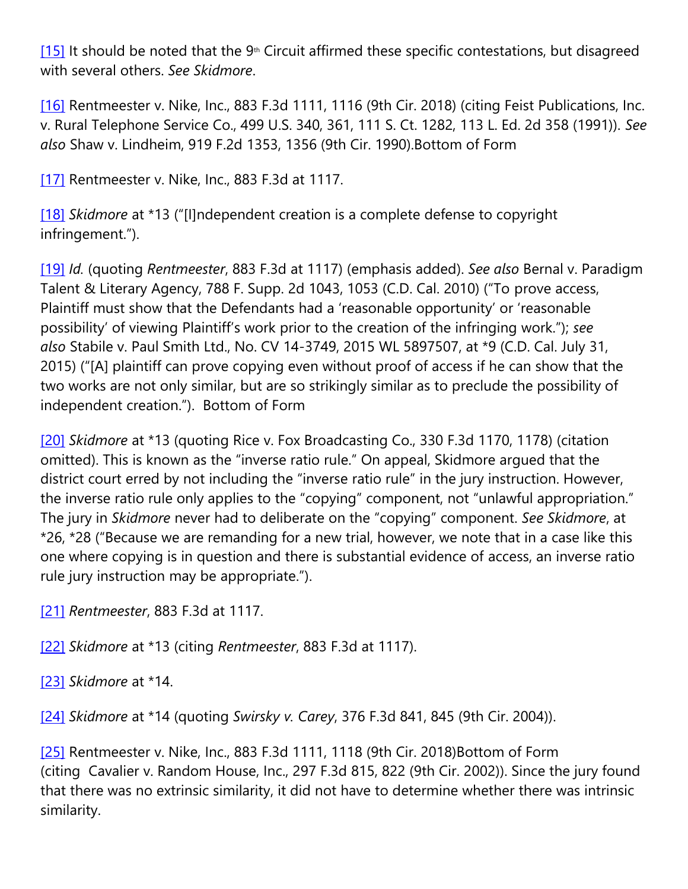[\[15\]](https://cardozoaelj.com/2018/10/14/9th-circuit-orders-retrial-stairway-heaven-copyright-infringement-case/#_ftnref15) It should be noted that the  $9<sup>th</sup>$  Circuit affirmed these specific contestations, but disagreed with several others. *See Skidmore*.

[\[16\]](https://cardozoaelj.com/2018/10/14/9th-circuit-orders-retrial-stairway-heaven-copyright-infringement-case/#_ftnref16) Rentmeester v. Nike, Inc., 883 F.3d 1111, 1116 (9th Cir. 2018) (citing Feist Publications, Inc. v. Rural Telephone Service Co., 499 U.S. 340, 361, 111 S. Ct. 1282, 113 L. Ed. 2d 358 (1991)). *See also* Shaw v. Lindheim, 919 F.2d 1353, 1356 (9th Cir. 1990).Bottom of Form

[\[17\]](https://cardozoaelj.com/2018/10/14/9th-circuit-orders-retrial-stairway-heaven-copyright-infringement-case/#_ftnref17) Rentmeester v. Nike, Inc., 883 F.3d at 1117.

[\[18\]](https://cardozoaelj.com/2018/10/14/9th-circuit-orders-retrial-stairway-heaven-copyright-infringement-case/#_ftnref18) *Skidmore* at \*13 ("[I]ndependent creation is a complete defense to copyright infringement.").

[\[19\]](https://cardozoaelj.com/2018/10/14/9th-circuit-orders-retrial-stairway-heaven-copyright-infringement-case/#_ftnref19) *Id.* (quoting *Rentmeester*, 883 F.3d at 1117) (emphasis added). *See also* Bernal v. Paradigm Talent & Literary Agency, 788 F. Supp. 2d 1043, 1053 (C.D. Cal. 2010) ("To prove access, Plaintiff must show that the Defendants had a 'reasonable opportunity' or 'reasonable possibility' of viewing Plaintiff's work prior to the creation of the infringing work."); *see also* Stabile v. Paul Smith Ltd., No. CV 14-3749, 2015 WL 5897507, at \*9 (C.D. Cal. July 31, 2015) ("[A] plaintiff can prove copying even without proof of access if he can show that the two works are not only similar, but are so strikingly similar as to preclude the possibility of independent creation."). Bottom of Form

[\[20\]](https://cardozoaelj.com/2018/10/14/9th-circuit-orders-retrial-stairway-heaven-copyright-infringement-case/#_ftnref20) *Skidmore* at \*13 (quoting Rice v. Fox Broadcasting Co., 330 F.3d 1170, 1178) (citation omitted). This is known as the "inverse ratio rule." On appeal, Skidmore argued that the district court erred by not including the "inverse ratio rule" in the jury instruction. However, the inverse ratio rule only applies to the "copying" component, not "unlawful appropriation." The jury in *Skidmore* never had to deliberate on the "copying" component. *See Skidmore*, at \*26, \*28 ("Because we are remanding for a new trial, however, we note that in a case like this one where copying is in question and there is substantial evidence of access, an inverse ratio rule jury instruction may be appropriate.").

[\[21\]](https://cardozoaelj.com/2018/10/14/9th-circuit-orders-retrial-stairway-heaven-copyright-infringement-case/#_ftnref21) *Rentmeester*, 883 F.3d at 1117.

```
[22] Skidmore at *13 (citing Rentmeester, 883 F.3d at 1117).
```
[\[23\]](https://cardozoaelj.com/2018/10/14/9th-circuit-orders-retrial-stairway-heaven-copyright-infringement-case/#_ftnref23) *Skidmore* at \*14.

[\[24\]](https://cardozoaelj.com/2018/10/14/9th-circuit-orders-retrial-stairway-heaven-copyright-infringement-case/#_ftnref24) *Skidmore* at \*14 (quoting *Swirsky v. Carey*, 376 F.3d 841, 845 (9th Cir. 2004)).

[\[25\]](https://cardozoaelj.com/2018/10/14/9th-circuit-orders-retrial-stairway-heaven-copyright-infringement-case/#_ftnref25) Rentmeester v. Nike, Inc., 883 F.3d 1111, 1118 (9th Cir. 2018) Bottom of Form (citing Cavalier v. Random House, Inc., 297 F.3d 815, 822 (9th Cir. 2002)). Since the jury found that there was no extrinsic similarity, it did not have to determine whether there was intrinsic similarity.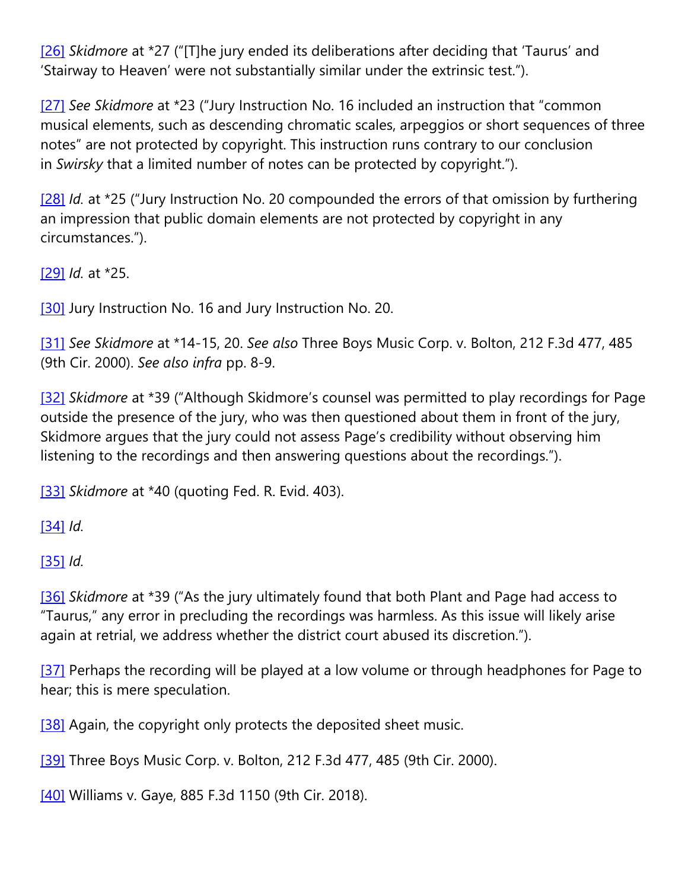[\[26\]](https://cardozoaelj.com/2018/10/14/9th-circuit-orders-retrial-stairway-heaven-copyright-infringement-case/#_ftnref26) *Skidmore* at \*27 ("[T]he jury ended its deliberations after deciding that 'Taurus' and 'Stairway to Heaven' were not substantially similar under the extrinsic test.").

[\[27\]](https://cardozoaelj.com/2018/10/14/9th-circuit-orders-retrial-stairway-heaven-copyright-infringement-case/#_ftnref27) *See Skidmore* at \*23 ("Jury Instruction No. 16 included an instruction that "common musical elements, such as descending chromatic scales, arpeggios or short sequences of three notes" are not protected by copyright. This instruction runs contrary to our conclusion in *Swirsky* that a limited number of notes can be protected by copyright.").

[\[28\]](https://cardozoaelj.com/2018/10/14/9th-circuit-orders-retrial-stairway-heaven-copyright-infringement-case/#_ftnref28) *Id.* at \*25 ("Jury Instruction No. 20 compounded the errors of that omission by furthering an impression that public domain elements are not protected by copyright in any circumstances.").

[\[29\]](https://cardozoaelj.com/2018/10/14/9th-circuit-orders-retrial-stairway-heaven-copyright-infringement-case/#_ftnref29) *Id.* at \*25.

[\[30\]](https://cardozoaelj.com/2018/10/14/9th-circuit-orders-retrial-stairway-heaven-copyright-infringement-case/#_ftnref30) Jury Instruction No. 16 and Jury Instruction No. 20.

[\[31\]](https://cardozoaelj.com/2018/10/14/9th-circuit-orders-retrial-stairway-heaven-copyright-infringement-case/#_ftnref31) *See Skidmore* at \*14-15, 20. *See also* Three Boys Music Corp. v. Bolton, 212 F.3d 477, 485 (9th Cir. 2000). *See also infra* pp. 8-9.

[\[32\]](https://cardozoaelj.com/2018/10/14/9th-circuit-orders-retrial-stairway-heaven-copyright-infringement-case/#_ftnref32) *Skidmore* at \*39 ("Although Skidmore's counsel was permitted to play recordings for Page outside the presence of the jury, who was then questioned about them in front of the jury, Skidmore argues that the jury could not assess Page's credibility without observing him listening to the recordings and then answering questions about the recordings.").

[\[33\]](https://cardozoaelj.com/2018/10/14/9th-circuit-orders-retrial-stairway-heaven-copyright-infringement-case/#_ftnref33) *Skidmore* at \*40 (quoting Fed. R. Evid. 403).

[\[34\]](https://cardozoaelj.com/2018/10/14/9th-circuit-orders-retrial-stairway-heaven-copyright-infringement-case/#_ftnref34) *Id.* 

[\[35\]](https://cardozoaelj.com/2018/10/14/9th-circuit-orders-retrial-stairway-heaven-copyright-infringement-case/#_ftnref35) *Id.*

[\[36\]](https://cardozoaelj.com/2018/10/14/9th-circuit-orders-retrial-stairway-heaven-copyright-infringement-case/#_ftnref36) *Skidmore* at \*39 ("As the jury ultimately found that both Plant and Page had access to "Taurus," any error in precluding the recordings was harmless. As this issue will likely arise again at retrial, we address whether the district court abused its discretion.").

[\[37\]](https://cardozoaelj.com/2018/10/14/9th-circuit-orders-retrial-stairway-heaven-copyright-infringement-case/#_ftnref37) Perhaps the recording will be played at a low volume or through headphones for Page to hear; this is mere speculation.

[\[38\]](https://cardozoaelj.com/2018/10/14/9th-circuit-orders-retrial-stairway-heaven-copyright-infringement-case/#_ftnref38) Again, the copyright only protects the deposited sheet music.

[\[39\]](https://cardozoaelj.com/2018/10/14/9th-circuit-orders-retrial-stairway-heaven-copyright-infringement-case/#_ftnref39) Three Boys Music Corp. v. Bolton, 212 F.3d 477, 485 (9th Cir. 2000).

[\[40\]](https://cardozoaelj.com/2018/10/14/9th-circuit-orders-retrial-stairway-heaven-copyright-infringement-case/#_ftnref40) Williams v. Gaye, 885 F.3d 1150 (9th Cir. 2018).